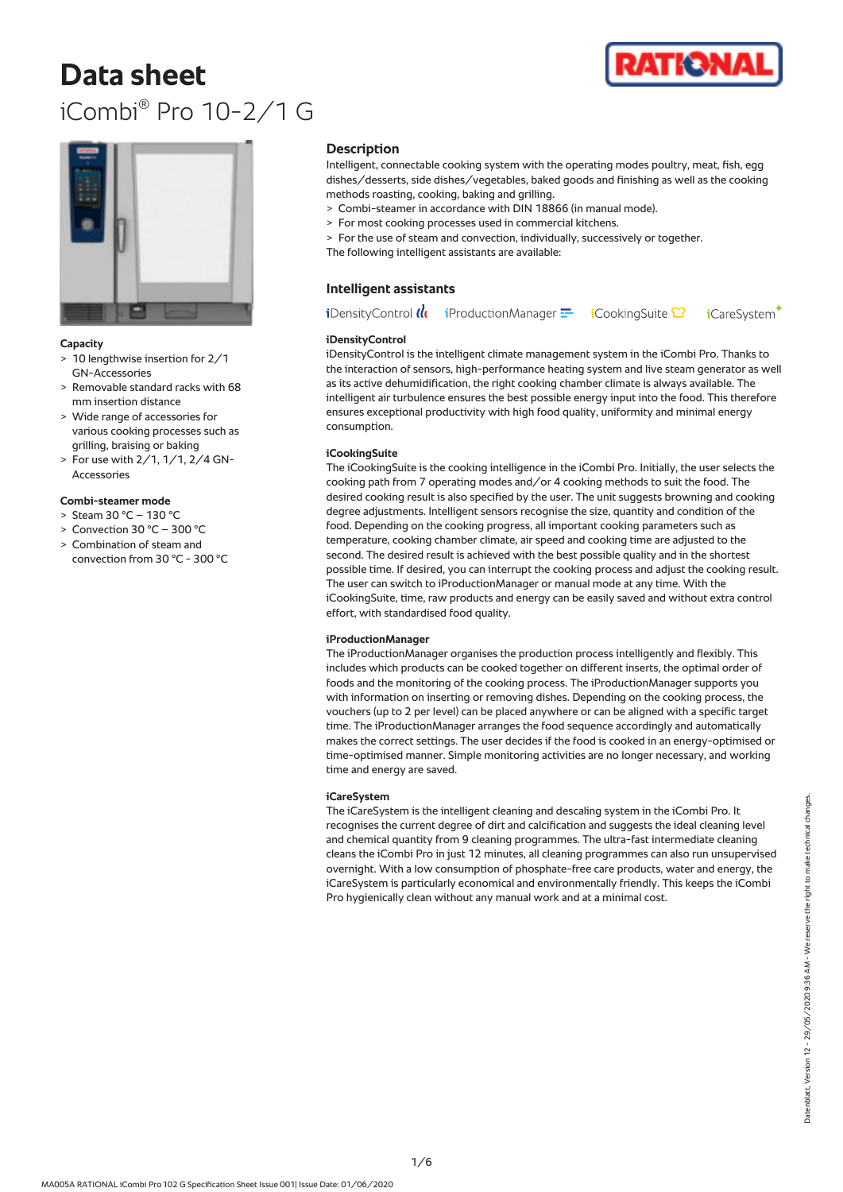# **Data sheet** iCombi® Pro 10-2/1 G





# **Capacity**

- > 10 lengthwise insertion for 2/1 GN-Accessories
- > Removable standard racks with 68 mm insertion distance
- > Wide range of accessories for various cooking processes such as grilling, braising or baking
- > For use with 2/1, 1/1, 2/4 GN-Accessories

# **Combi-steamer mode**

- $>$  Steam 30 °C 130 °C
- > Convection 30 °C 300 °C
- > Combination of steam and convection from 30 °C - 300 °C

# **Description**

Intelligent, connectable cooking system with the operating modes poultry, meat, fish, egg dishes/desserts, side dishes/vegetables, baked goods and finishing as well as the cooking methods roasting, cooking, baking and grilling.

- > Combi-steamer in accordance with DIN 18866 (in manual mode).
- > For most cooking processes used in commercial kitchens.
- > For the use of steam and convection, individually, successively or together. The following intelligent assistants are available:

# **Intelligent assistants**

**i**DensityControl (It  $i$ ProductionManager $\equiv$ **i**CookingSuite <sup>1</sup> **i**CareSystem

## **iDensityControl**

iDensityControl is the intelligent climate management system in the iCombi Pro. Thanks to the interaction of sensors, high-performance heating system and live steam generator as well as its active dehumidification, the right cooking chamber climate is always available. The intelligent air turbulence ensures the best possible energy input into the food. This therefore ensures exceptional productivity with high food quality, uniformity and minimal energy consumption.

# **iCookingSuite**

The iCookingSuite is the cooking intelligence in the iCombi Pro. Initially, the user selects the cooking path from 7 operating modes and/or 4 cooking methods to suit the food. The desired cooking result is also specified by the user. The unit suggests browning and cooking degree adjustments. Intelligent sensors recognise the size, quantity and condition of the food. Depending on the cooking progress, all important cooking parameters such as temperature, cooking chamber climate, air speed and cooking time are adjusted to the second. The desired result is achieved with the best possible quality and in the shortest possible time. If desired, you can interrupt the cooking process and adjust the cooking result. The user can switch to iProductionManager or manual mode at any time. With the iCookingSuite, time, raw products and energy can be easily saved and without extra control effort, with standardised food quality.

## **iProductionManager**

The iProductionManager organises the production process intelligently and flexibly. This includes which products can be cooked together on different inserts, the optimal order of foods and the monitoring of the cooking process. The iProductionManager supports you with information on inserting or removing dishes. Depending on the cooking process, the vouchers (up to 2 per level) can be placed anywhere or can be aligned with a specific target time. The iProductionManager arranges the food sequence accordingly and automatically makes the correct settings. The user decides if the food is cooked in an energy-optimised or time-optimised manner. Simple monitoring activities are no longer necessary, and working time and energy are saved.

## **iCareSystem**

The iCareSystem is the intelligent cleaning and descaling system in the iCombi Pro. It recognises the current degree of dirt and calcification and suggests the ideal cleaning level and chemical quantity from 9 cleaning programmes. The ultra-fast intermediate cleaning cleans the iCombi Pro in just 12 minutes, all cleaning programmes can also run unsupervised overnight. With a low consumption of phosphate-free care products, water and energy, the iCareSystem is particularly economical and environmentally friendly. This keeps the iCombi Pro hygienically clean without any manual work and at a minimal cost.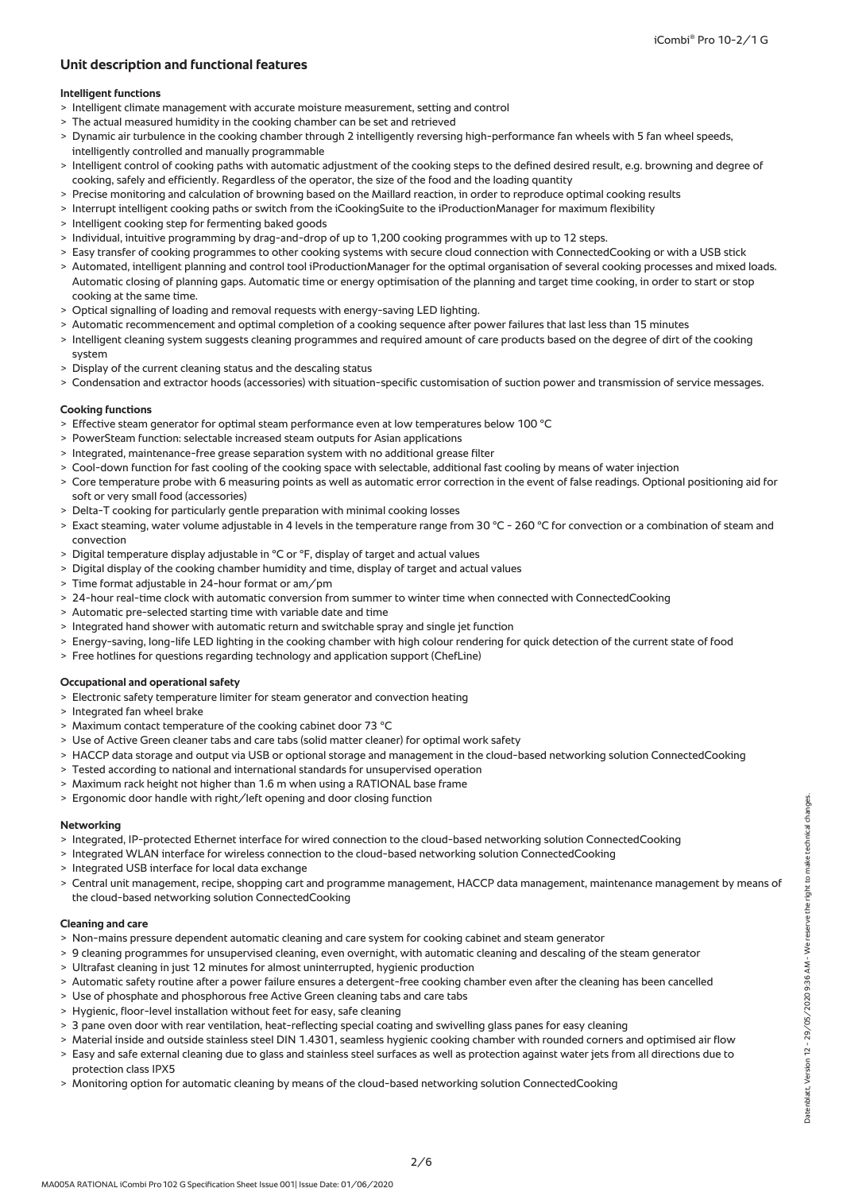# **Unit description and functional features**

# **Intelligent functions**

- > Intelligent climate management with accurate moisture measurement, setting and control
- > The actual measured humidity in the cooking chamber can be set and retrieved
- > Dynamic air turbulence in the cooking chamber through 2 intelligently reversing high-performance fan wheels with 5 fan wheel speeds, intelligently controlled and manually programmable
- > Intelligent control of cooking paths with automatic adjustment of the cooking steps to the defined desired result, e.g. browning and degree of cooking, safely and efficiently. Regardless of the operator, the size of the food and the loading quantity
- > Precise monitoring and calculation of browning based on the Maillard reaction, in order to reproduce optimal cooking results
- > Interrupt intelligent cooking paths or switch from the iCookingSuite to the iProductionManager for maximum flexibility
- > Intelligent cooking step for fermenting baked goods
- > Individual, intuitive programming by drag-and-drop of up to 1,200 cooking programmes with up to 12 steps.
- > Easy transfer of cooking programmes to other cooking systems with secure cloud connection with ConnectedCooking or with a USB stick
- > Automated, intelligent planning and control tool iProductionManager for the optimal organisation of several cooking processes and mixed loads. Automatic closing of planning gaps. Automatic time or energy optimisation of the planning and target time cooking, in order to start or stop cooking at the same time.
- > Optical signalling of loading and removal requests with energy-saving LED lighting.
- Automatic recommencement and optimal completion of a cooking sequence after power failures that last less than 15 minutes
- > Intelligent cleaning system suggests cleaning programmes and required amount of care products based on the degree of dirt of the cooking system
- > Display of the current cleaning status and the descaling status
- > Condensation and extractor hoods (accessories) with situation-specific customisation of suction power and transmission of service messages.

## **Cooking functions**

- > Effective steam generator for optimal steam performance even at low temperatures below 100 °C
- > PowerSteam function: selectable increased steam outputs for Asian applications
- > Integrated, maintenance-free grease separation system with no additional grease filter
- > Cool-down function for fast cooling of the cooking space with selectable, additional fast cooling by means of water injection
- > Core temperature probe with 6 measuring points as well as automatic error correction in the event of false readings. Optional positioning aid for soft or very small food (accessories)
- > Delta-T cooking for particularly gentle preparation with minimal cooking losses
- > Exact steaming, water volume adjustable in 4 levels in the temperature range from 30 °C 260 °C for convection or a combination of steam and convection
- > Digital temperature display adjustable in °C or °F, display of target and actual values
- > Digital display of the cooking chamber humidity and time, display of target and actual values
- > Time format adjustable in 24-hour format or am/pm
- > 24-hour real-time clock with automatic conversion from summer to winter time when connected with ConnectedCooking
- > Automatic pre-selected starting time with variable date and time
- > Integrated hand shower with automatic return and switchable spray and single jet function
- > Energy-saving, long-life LED lighting in the cooking chamber with high colour rendering for quick detection of the current state of food
- > Free hotlines for questions regarding technology and application support (ChefLine)

# **Occupational and operational safety**

- > Electronic safety temperature limiter for steam generator and convection heating
- > Integrated fan wheel brake
- > Maximum contact temperature of the cooking cabinet door 73 °C
- > Use of Active Green cleaner tabs and care tabs (solid matter cleaner) for optimal work safety
- > HACCP data storage and output via USB or optional storage and management in the cloud-based networking solution ConnectedCooking
- > Tested according to national and international standards for unsupervised operation
- > Maximum rack height not higher than 1.6 m when using a RATIONAL base frame
- > Ergonomic door handle with right/left opening and door closing function

#### **Networking**

- > Integrated, IP-protected Ethernet interface for wired connection to the cloud-based networking solution ConnectedCooking
- > Integrated WLAN interface for wireless connection to the cloud-based networking solution ConnectedCooking
- > Integrated USB interface for local data exchange
- > Central unit management, recipe, shopping cart and programme management, HACCP data management, maintenance management by means of the cloud-based networking solution ConnectedCooking

#### **Cleaning and care**

- > Non-mains pressure dependent automatic cleaning and care system for cooking cabinet and steam generator
- > 9 cleaning programmes for unsupervised cleaning, even overnight, with automatic cleaning and descaling of the steam generator
- > Ultrafast cleaning in just 12 minutes for almost uninterrupted, hygienic production
- > Automatic safety routine after a power failure ensures a detergent-free cooking chamber even after the cleaning has been cancelled
- > Use of phosphate and phosphorous free Active Green cleaning tabs and care tabs
- > Hygienic, floor-level installation without feet for easy, safe cleaning
- > 3 pane oven door with rear ventilation, heat-reflecting special coating and swivelling glass panes for easy cleaning
- > Material inside and outside stainless steel DIN 1.4301, seamless hygienic cooking chamber with rounded corners and optimised air flow > Easy and safe external cleaning due to glass and stainless steel surfaces as well as protection against water jets from all directions due to
- protection class IPX5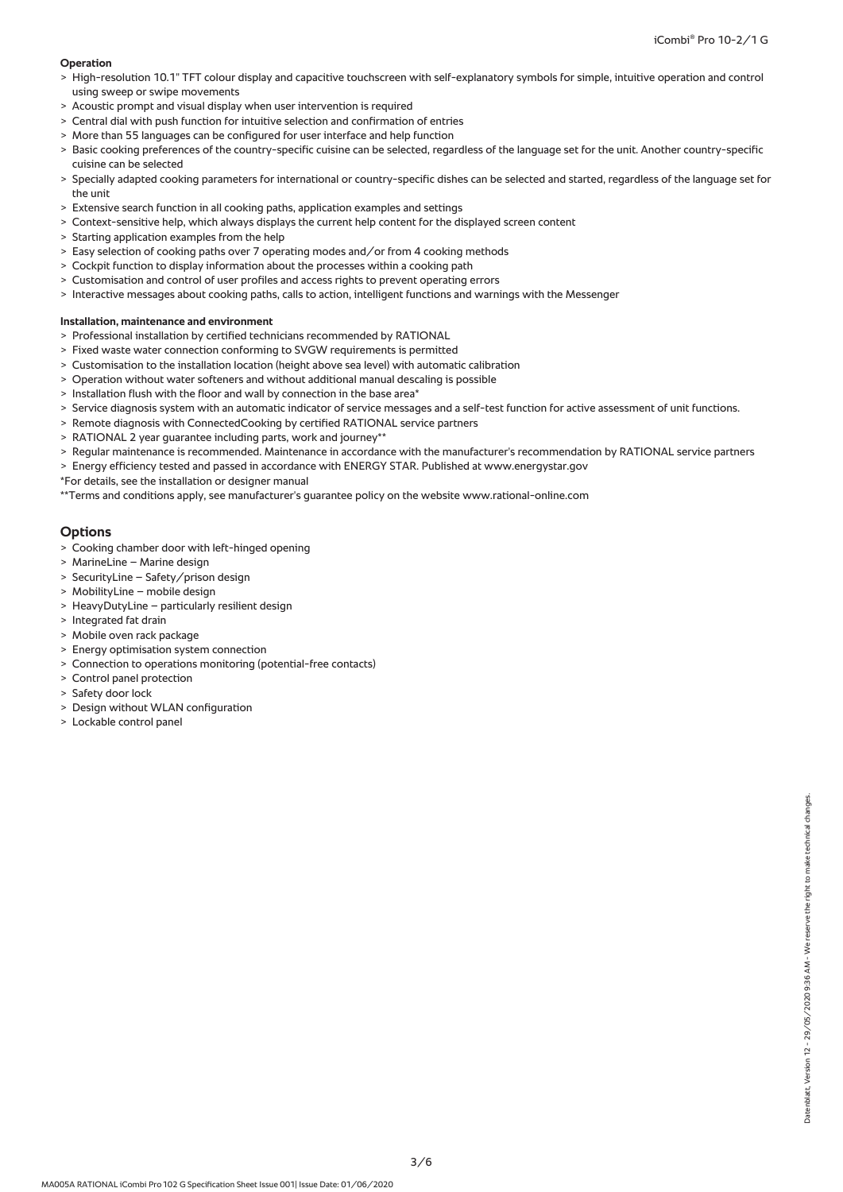# **Operation**

- > High-resolution 10.1" TFT colour display and capacitive touchscreen with self-explanatory symbols for simple, intuitive operation and control using sweep or swipe movements
- > Acoustic prompt and visual display when user intervention is required
- > Central dial with push function for intuitive selection and confirmation of entries
- > More than 55 languages can be configured for user interface and help function
- > Basic cooking preferences of the country-specific cuisine can be selected, regardless of the language set for the unit. Another country-specific cuisine can be selected
- > Specially adapted cooking parameters for international or country-specific dishes can be selected and started, regardless of the language set for the unit
- > Extensive search function in all cooking paths, application examples and settings
- Context-sensitive help, which always displays the current help content for the displayed screen content
- > Starting application examples from the help
- > Easy selection of cooking paths over 7 operating modes and/or from 4 cooking methods
- > Cockpit function to display information about the processes within a cooking path
- > Customisation and control of user profiles and access rights to prevent operating errors
- > Interactive messages about cooking paths, calls to action, intelligent functions and warnings with the Messenger

# **Installation, maintenance and environment**

- > Professional installation by certified technicians recommended by RATIONAL
- > Fixed waste water connection conforming to SVGW requirements is permitted
- Customisation to the installation location (height above sea level) with automatic calibration
- > Operation without water softeners and without additional manual descaling is possible
- > Installation flush with the floor and wall by connection in the base area\*
- > Service diagnosis system with an automatic indicator of service messages and a self-test function for active assessment of unit functions.
- > Remote diagnosis with ConnectedCooking by certified RATIONAL service partners
- RATIONAL 2 year guarantee including parts, work and journey\*\*
- > Regular maintenance is recommended. Maintenance in accordance with the manufacturer's recommendation by RATIONAL service partners
- > Energy efficiency tested and passed in accordance with ENERGY STAR. Published at www.energystar.gov
- \*For details, see the installation or designer manual
- \*\*Terms and conditions apply, see manufacturer's guarantee policy on the website www.rational-online.com

# **Options**

- > Cooking chamber door with left-hinged opening
- > MarineLine Marine design
- > SecurityLine Safety/prison design
- > MobilityLine mobile design
- > HeavyDutyLine particularly resilient design
- > Integrated fat drain
- > Mobile oven rack package
- > Energy optimisation system connection
- > Connection to operations monitoring (potential-free contacts)
- > Control panel protection
- > Safety door lock
- > Design without WLAN configuration
- > Lockable control panel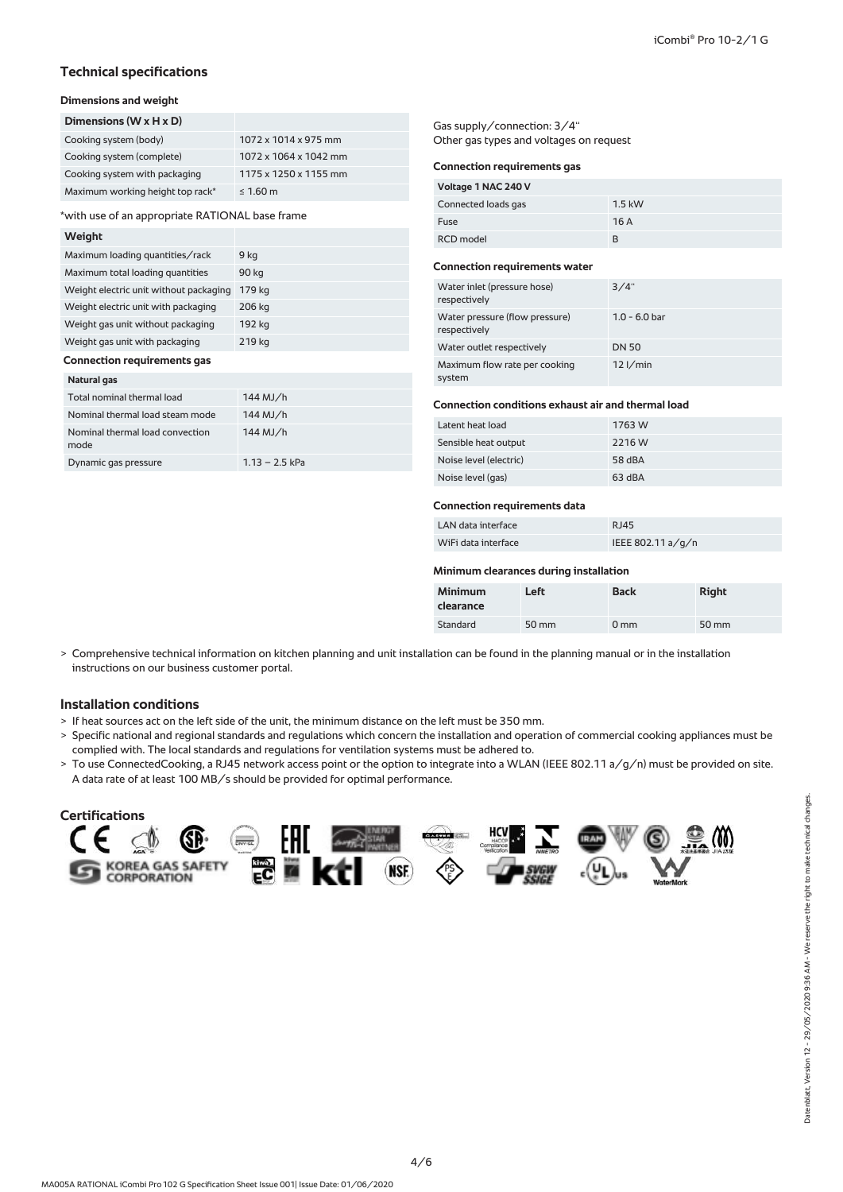# **Technical specifications**

# **Dimensions and weight**

| Dimensions ( $W \times H \times D$ ) |                       |
|--------------------------------------|-----------------------|
| Cooking system (body)                | 1072 x 1014 x 975 mm  |
| Cooking system (complete)            | 1072 x 1064 x 1042 mm |
| Cooking system with packaging        | 1175 x 1250 x 1155 mm |
| Maximum working height top rack*     | $\leq 1.60$ m         |

\*with use of an appropriate RATIONAL base frame

#### **Weight**

| Maximum loading quantities/rack        | 9 kg   |
|----------------------------------------|--------|
| Maximum total loading quantities       | 90 kg  |
| Weight electric unit without packaging | 179 kg |
| Weight electric unit with packaging    | 206 kg |
| Weight gas unit without packaging      | 192 kg |
| Weight gas unit with packaging         | 219 kg |
| <b>Connection requirements gas</b>     |        |

#### **Natural gas**

| Total nominal thermal load              | $144$ MJ/h       |
|-----------------------------------------|------------------|
| Nominal thermal load steam mode         | $144$ MJ/h       |
| Nominal thermal load convection<br>mode | $144$ MJ/h       |
| Dynamic gas pressure                    | $1.13 - 2.5$ kPa |

Gas supply/connection: 3/4'' Other gas types and voltages on request

#### **Connection requirements gas**

| Voltage 1 NAC 240 V |          |
|---------------------|----------|
| Connected loads gas | $1.5$ kW |
| Fuse                | 16A      |
| <b>RCD</b> model    | R        |

#### **Connection requirements water**

| Water inlet (pressure hose)<br>respectively    | 3/4"            |
|------------------------------------------------|-----------------|
| Water pressure (flow pressure)<br>respectively | $1.0 - 6.0$ bar |
| Water outlet respectively                      | <b>DN 50</b>    |
| Maximum flow rate per cooking<br>system        | $12$ I/min      |

## **Connection conditions exhaust air and thermal load**

| Latent heat load       | 1763 W |
|------------------------|--------|
| Sensible heat output   | 2216 W |
| Noise level (electric) | 58 dBA |
| Noise level (gas)      | 63 dBA |

## **Connection requirements data**

# LAN data interface RJ45

| WiFi data interface | IEEE 802.11 a/g/n |
|---------------------|-------------------|

## **Minimum clearances during installation**

| <b>Minimum</b><br>clearance | Left  | <b>Back</b>     | <b>Right</b> |
|-----------------------------|-------|-----------------|--------------|
| <b>Standard</b>             | 50 mm | 0 <sub>mm</sub> | 50 mm        |

> Comprehensive technical information on kitchen planning and unit installation can be found in the planning manual or in the installation instructions on our business customer portal.

# **Installation conditions**

- > If heat sources act on the left side of the unit, the minimum distance on the left must be 350 mm.
- > Specific national and regional standards and regulations which concern the installation and operation of commercial cooking appliances must be complied with. The local standards and regulations for ventilation systems must be adhered to.
- > To use ConnectedCooking, a RJ45 network access point or the option to integrate into a WLAN (IEEE 802.11 a/g/n) must be provided on site. A data rate of at least 100 MB/s should be provided for optimal performance.

#### **Certifications Expressed**  $(\delta \delta)$ GR **EC** KOREA GAS SAFETY<br>CORPORATION ktl. (NSF.)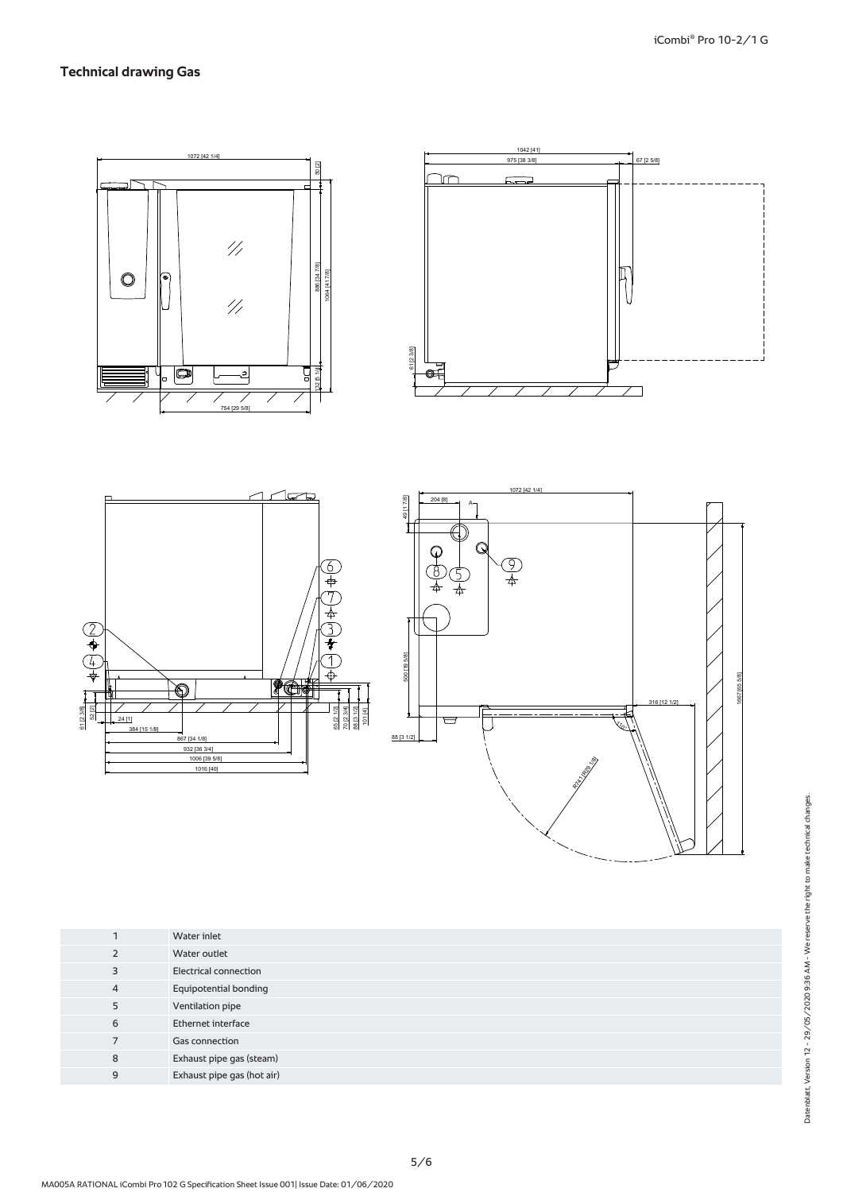# **Technical drawing Gas**



| ٠              | Water inlet                  |
|----------------|------------------------------|
| 2              | Water outlet                 |
| 3              | <b>Electrical connection</b> |
| $\overline{4}$ | <b>Equipotential bonding</b> |
| 5              | Ventilation pipe             |
| 6              | Ethernet interface           |
| 7              | <b>Gas connection</b>        |
| 8              | Exhaust pipe gas (steam)     |
| 9              | Exhaust pipe gas (hot air)   |
|                |                              |